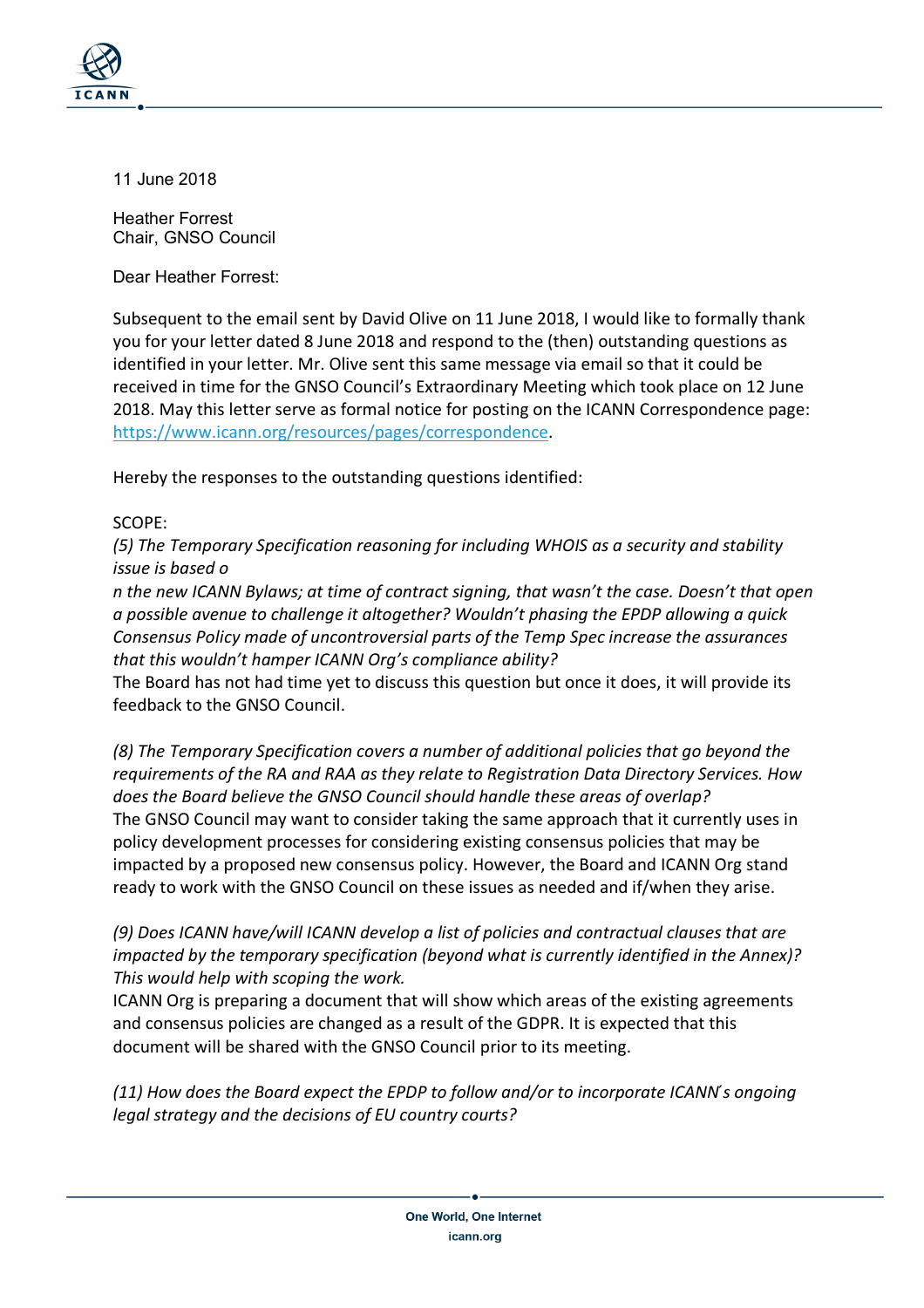

11 June 2018

Heather Forrest Chair, GNSO Council

Dear Heather Forrest:

Subsequent to the email sent by David Olive on 11 June 2018, I would like to formally thank you for your letter dated 8 June 2018 and respond to the (then) outstanding questions as identified in your letter. Mr. Olive sent this same message via email so that it could be received in time for the GNSO Council's Extraordinary Meeting which took place on 12 June 2018. May this letter serve as formal notice for posting on the ICANN Correspondence page: https://www.icann.org/resources/pages/correspondence.

Hereby the responses to the outstanding questions identified:

## SCOPE:

*(5) The Temporary Specification reasoning for including WHOIS as a security and stability issue is based o*

*n the new ICANN Bylaws; at time of contract signing, that wasn't the case. Doesn't that open a possible avenue to challenge it altogether? Wouldn't phasing the EPDP allowing a quick Consensus Policy made of uncontroversial parts of the Temp Spec increase the assurances that this wouldn't hamper ICANN Org's compliance ability?*

The Board has not had time yet to discuss this question but once it does, it will provide its feedback to the GNSO Council.

*(8) The Temporary Specification covers a number of additional policies that go beyond the requirements of the RA and RAA as they relate to Registration Data Directory Services. How does the Board believe the GNSO Council should handle these areas of overlap?* The GNSO Council may want to consider taking the same approach that it currently uses in policy development processes for considering existing consensus policies that may be impacted by a proposed new consensus policy. However, the Board and ICANN Org stand ready to work with the GNSO Council on these issues as needed and if/when they arise.

## *(9) Does ICANN have/will ICANN develop a list of policies and contractual clauses that are impacted by the temporary specification (beyond what is currently identified in the Annex)? This would help with scoping the work.*

ICANN Org is preparing a document that will show which areas of the existing agreements and consensus policies are changed as a result of the GDPR. It is expected that this document will be shared with the GNSO Council prior to its meeting.

*(11) How does the Board expect the EPDP to follow and/or to incorporate ICANN ́s ongoing legal strategy and the decisions of EU country courts?*